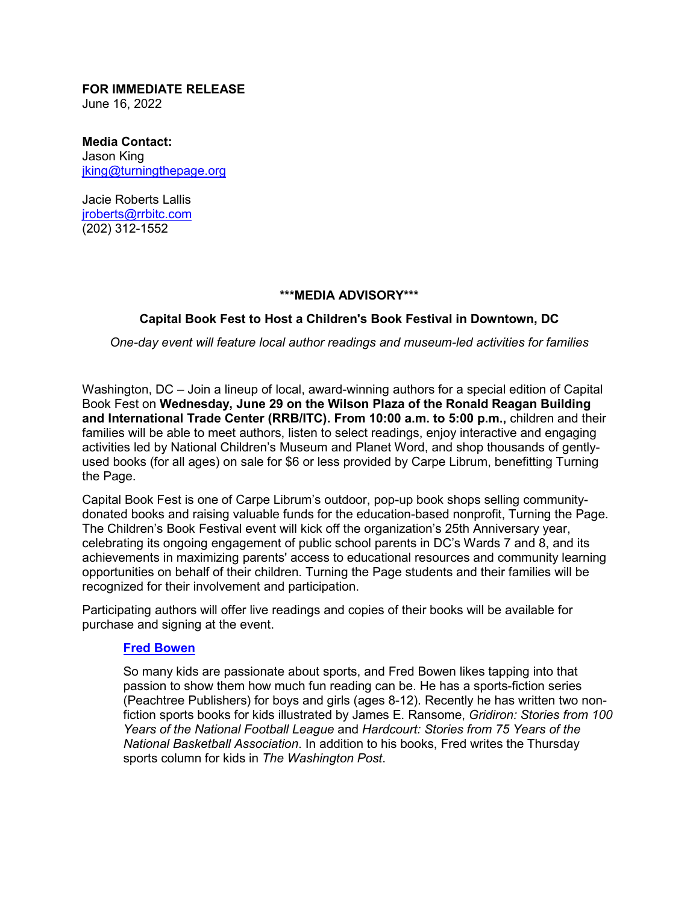**FOR IMMEDIATE RELEASE**  June 16, 2022

**Media Contact:** Jason King [jking@turningthepage.org](mailto:jking@turningthepage.org)

Jacie Roberts Lallis [jroberts@rrbitc.com](mailto:jroberts@rrbitc.com) (202) 312-1552

#### **\*\*\*MEDIA ADVISORY\*\*\***

### **Capital Book Fest to Host a Children's Book Festival in Downtown, DC**

*One-day event will feature local author readings and museum-led activities for families*

Washington, DC – Join a lineup of local, award-winning authors for a special edition of Capital Book Fest on **Wednesday, June 29 on the Wilson Plaza of the Ronald Reagan Building and International Trade Center (RRB/ITC). From 10:00 a.m. to 5:00 p.m.,** children and their families will be able to meet authors, listen to select readings, enjoy interactive and engaging activities led by National Children's Museum and Planet Word, and shop thousands of gentlyused books (for all ages) on sale for \$6 or less provided by Carpe Librum, benefitting Turning the Page.

Capital Book Fest is one of Carpe Librum's outdoor, pop-up book shops selling communitydonated books and raising valuable funds for the education-based nonprofit, Turning the Page. The Children's Book Festival event will kick off the organization's 25th Anniversary year, celebrating its ongoing engagement of public school parents in DC's Wards 7 and 8, and its achievements in maximizing parents' access to educational resources and community learning opportunities on behalf of their children. Turning the Page students and their families will be recognized for their involvement and participation.

Participating authors will offer live readings and copies of their books will be available for purchase and signing at the event.

#### **[Fred Bowen](https://www.fredbowen.com/)**

So many kids are passionate about sports, and Fred Bowen likes tapping into that passion to show them how much fun reading can be. He has a sports-fiction series (Peachtree Publishers) for boys and girls (ages 8-12). Recently he has written two nonfiction sports books for kids illustrated by James E. Ransome, *Gridiron: Stories from 100 Years of the National Football League* and *Hardcourt: Stories from 75 Years of the National Basketball Association*. In addition to his books, Fred writes the Thursday sports column for kids in *The Washington Post*.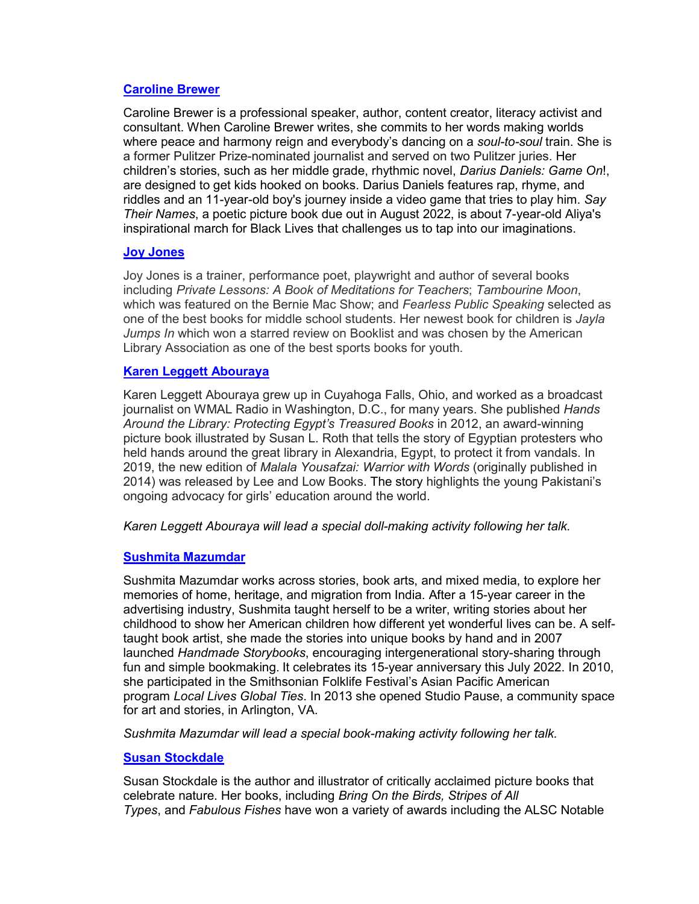# **[Caroline Brewer](https://carolinebrewerbooks.com/)**

Caroline Brewer is a professional speaker, author, content creator, literacy activist and consultant. When Caroline Brewer writes, she commits to her words making worlds where peace and harmony reign and everybody's dancing on a *soul-to-soul* train. She is a former Pulitzer Prize-nominated journalist and served on two Pulitzer juries. Her children's stories, such as her middle grade, rhythmic novel, *Darius Daniels: Game On*!, are designed to get kids hooked on books. Darius Daniels features rap, rhyme, and riddles and an 11-year-old boy's journey inside a video game that tries to play him. *Say Their Names*, a poetic picture book due out in August 2022, is about 7-year-old Aliya's inspirational march for Black Lives that challenges us to tap into our imaginations.

### **[Joy Jones](https://joyjonesonline.com/about/)**

Joy Jones is a trainer, performance poet, playwright and author of several books including *Private Lessons: A Book of Meditations for Teachers*; *Tambourine Moon*, which was featured on the Bernie Mac Show; and *Fearless Public Speaking* selected as one of the best books for middle school students. Her newest book for children is *Jayla Jumps In* which won a starred review on Booklist and was chosen by the American Library Association as one of the best sports books for youth.

# **[Karen Leggett Abouraya](https://www.handsaroundthelibrary.com/)**

Karen Leggett Abouraya grew up in Cuyahoga Falls, Ohio, and worked as a broadcast journalist on WMAL Radio in Washington, D.C., for many years. She published *Hands Around the Library: Protecting Egypt's Treasured Books* in 2012, an award-winning picture book illustrated by Susan L. Roth that tells the story of Egyptian protesters who held hands around the great library in Alexandria, Egypt, to protect it from vandals. In 2019, the new edition of *Malala Yousafzai: Warrior with Words* (originally published in 2014) was released by Lee and Low Books. The story highlights the young Pakistani's ongoing advocacy for girls' education around the world.

*Karen Leggett Abouraya will lead a special doll-making activity following her talk.*

# **[Sushmita Mazumdar](https://www.sushmitamazumdar.com/)**

Sushmita Mazumdar works across stories, book arts, and mixed media, to explore her memories of home, heritage, and migration from India. After a 15-year career in the advertising industry, Sushmita taught herself to be a writer, writing stories about her childhood to show her American children how different yet wonderful lives can be. A selftaught book artist, she made the stories into unique books by hand and in 2007 launched *Handmade Storybooks*, encouraging intergenerational story-sharing through fun and simple bookmaking. It celebrates its 15-year anniversary this July 2022. In 2010, she participated in the Smithsonian Folklife Festival's Asian Pacific American program *Local Lives Global Ties*. In 2013 she opened Studio Pause, a community space for art and stories, in Arlington, VA.

*Sushmita Mazumdar will lead a special book-making activity following her talk.*

# **[Susan Stockdale](https://www.susanstockdale.com/)**

Susan Stockdale is the author and illustrator of critically acclaimed picture books that celebrate nature. Her books, including *Bring On the Birds, Stripes of All Types*, and *Fabulous Fishes* have won a variety of awards including the ALSC Notable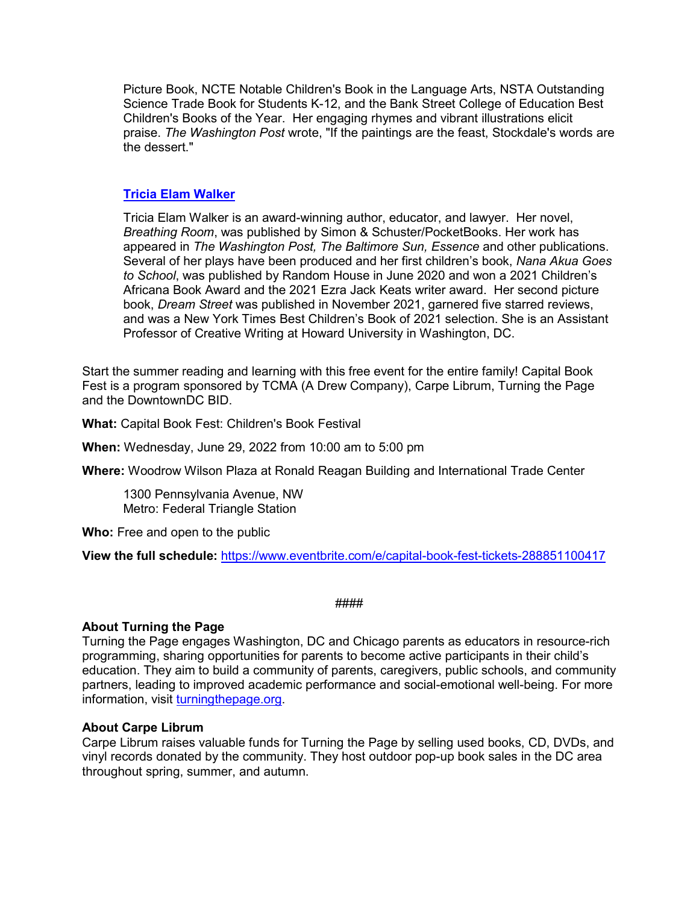Picture Book, NCTE Notable Children's Book in the Language Arts, NSTA Outstanding Science Trade Book for Students K-12, and the Bank Street College of Education Best Children's Books of the Year. Her engaging rhymes and vibrant illustrations elicit praise. *The Washington Post* wrote, "If the paintings are the feast, Stockdale's words are the dessert."

### **[Tricia Elam Walker](https://www.triciaelamwalker.com/)**

Tricia Elam Walker is an award-winning author, educator, and lawyer. Her novel, *Breathing Room*, was published by Simon & Schuster/PocketBooks. Her work has appeared in *The Washington Post, The Baltimore Sun, Essence* and other publications. Several of her plays have been produced and her first children's book, *Nana Akua Goes to School*, was published by Random House in June 2020 and won a 2021 Children's Africana Book Award and the 2021 Ezra Jack Keats writer award. Her second picture book, *Dream Street* was published in November 2021, garnered five starred reviews, and was a New York Times Best Children's Book of 2021 selection. She is an Assistant Professor of Creative Writing at Howard University in Washington, DC.

Start the summer reading and learning with this free event for the entire family! Capital Book Fest is a program sponsored by TCMA (A Drew Company), Carpe Librum, Turning the Page and the DowntownDC BID.

**What:** Capital Book Fest: Children's Book Festival

**When:** Wednesday, June 29, 2022 from 10:00 am to 5:00 pm

**Where:** Woodrow Wilson Plaza at Ronald Reagan Building and International Trade Center

1300 Pennsylvania Avenue, NW Metro: Federal Triangle Station

**Who:** Free and open to the public

**View the full schedule:** <https://www.eventbrite.com/e/capital-book-fest-tickets-288851100417>

####

# **About Turning the Page**

Turning the Page engages Washington, DC and Chicago parents as educators in resource-rich programming, sharing opportunities for parents to become active participants in their child's education. They aim to build a community of parents, caregivers, public schools, and community partners, leading to improved academic performance and social-emotional well-being. For more information, visit [turningthepage.org.](https://turningthepage.org/)

# **About Carpe Librum**

Carpe Librum raises valuable funds for Turning the Page by selling used books, CD, DVDs, and vinyl records donated by the community. They host outdoor pop-up book sales in the DC area throughout spring, summer, and autumn.